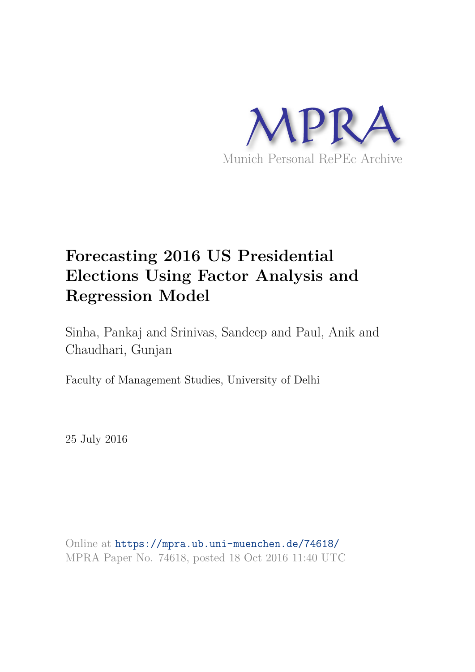

# **Forecasting 2016 US Presidential Elections Using Factor Analysis and Regression Model**

Sinha, Pankaj and Srinivas, Sandeep and Paul, Anik and Chaudhari, Gunjan

Faculty of Management Studies, University of Delhi

25 July 2016

Online at https://mpra.ub.uni-muenchen.de/74618/ MPRA Paper No. 74618, posted 18 Oct 2016 11:40 UTC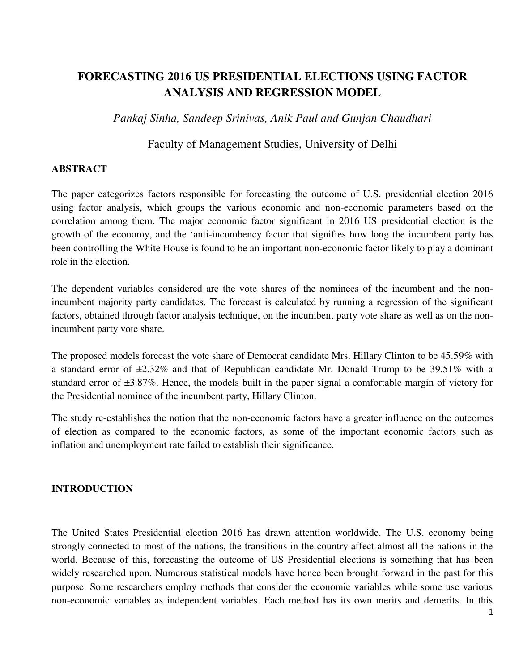# **FORECASTING 2016 US PRESIDENTIAL ELECTIONS USING FACTOR ANALYSIS AND REGRESSION MODEL**

*Pankaj Sinha, Sandeep Srinivas, Anik Paul and Gunjan Chaudhari*

### Faculty of Management Studies, University of Delhi

### **ABSTRACT**

The paper categorizes factors responsible for forecasting the outcome of U.S. presidential election 2016 using factor analysis, which groups the various economic and non-economic parameters based on the correlation among them. The major economic factor significant in 2016 US presidential election is the growth of the economy, and the 'anti-incumbency factor that signifies how long the incumbent party has been controlling the White House is found to be an important non-economic factor likely to play a dominant role in the election.

The dependent variables considered are the vote shares of the nominees of the incumbent and the nonincumbent majority party candidates. The forecast is calculated by running a regression of the significant factors, obtained through factor analysis technique, on the incumbent party vote share as well as on the nonincumbent party vote share.

The proposed models forecast the vote share of Democrat candidate Mrs. Hillary Clinton to be 45.59% with a standard error of  $\pm 2.32\%$  and that of Republican candidate Mr. Donald Trump to be 39.51% with a standard error of ±3.87%. Hence, the models built in the paper signal a comfortable margin of victory for the Presidential nominee of the incumbent party, Hillary Clinton.

The study re-establishes the notion that the non-economic factors have a greater influence on the outcomes of election as compared to the economic factors, as some of the important economic factors such as inflation and unemployment rate failed to establish their significance.

### **INTRODUCTION**

The United States Presidential election 2016 has drawn attention worldwide. The U.S. economy being strongly connected to most of the nations, the transitions in the country affect almost all the nations in the world. Because of this, forecasting the outcome of US Presidential elections is something that has been widely researched upon. Numerous statistical models have hence been brought forward in the past for this purpose. Some researchers employ methods that consider the economic variables while some use various non-economic variables as independent variables. Each method has its own merits and demerits. In this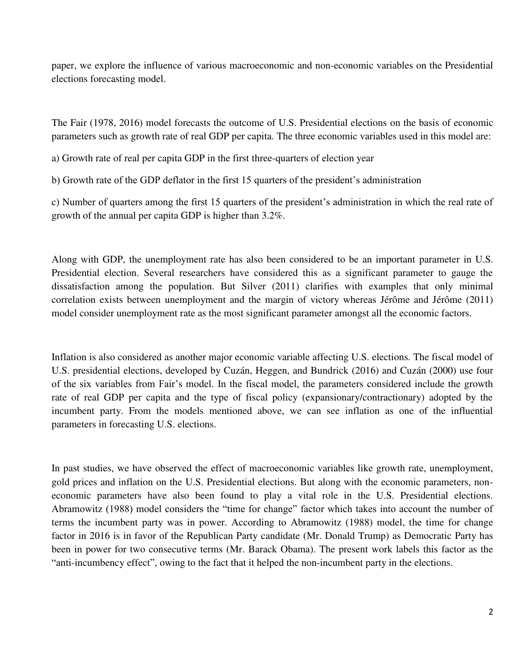paper, we explore the influence of various macroeconomic and non-economic variables on the Presidential elections forecasting model.

The Fair (1978, 2016) model forecasts the outcome of U.S. Presidential elections on the basis of economic parameters such as growth rate of real GDP per capita. The three economic variables used in this model are:

a) Growth rate of real per capita GDP in the first three-quarters of election year

b) Growth rate of the GDP deflator in the first 15 quarters of the president's administration

c) Number of quarters among the first 15 quarters of the president's administration in which the real rate of growth of the annual per capita GDP is higher than 3.2%.

Along with GDP, the unemployment rate has also been considered to be an important parameter in U.S. Presidential election. Several researchers have considered this as a significant parameter to gauge the dissatisfaction among the population. But Silver (2011) clarifies with examples that only minimal correlation exists between unemployment and the margin of victory whereas Jérôme and Jérôme (2011) model consider unemployment rate as the most significant parameter amongst all the economic factors.

Inflation is also considered as another major economic variable affecting U.S. elections. The fiscal model of U.S. presidential elections, developed by Cuzán, Heggen, and Bundrick (2016) and Cuzán (2000) use four of the six variables from Fair's model. In the fiscal model, the parameters considered include the growth rate of real GDP per capita and the type of fiscal policy (expansionary/contractionary) adopted by the incumbent party. From the models mentioned above, we can see inflation as one of the influential parameters in forecasting U.S. elections.

In past studies, we have observed the effect of macroeconomic variables like growth rate, unemployment, gold prices and inflation on the U.S. Presidential elections. But along with the economic parameters, noneconomic parameters have also been found to play a vital role in the U.S. Presidential elections. Abramowitz (1988) model considers the "time for change" factor which takes into account the number of terms the incumbent party was in power. According to Abramowitz (1988) model, the time for change factor in 2016 is in favor of the Republican Party candidate (Mr. Donald Trump) as Democratic Party has been in power for two consecutive terms (Mr. Barack Obama). The present work labels this factor as the "anti-incumbency effect", owing to the fact that it helped the non-incumbent party in the elections.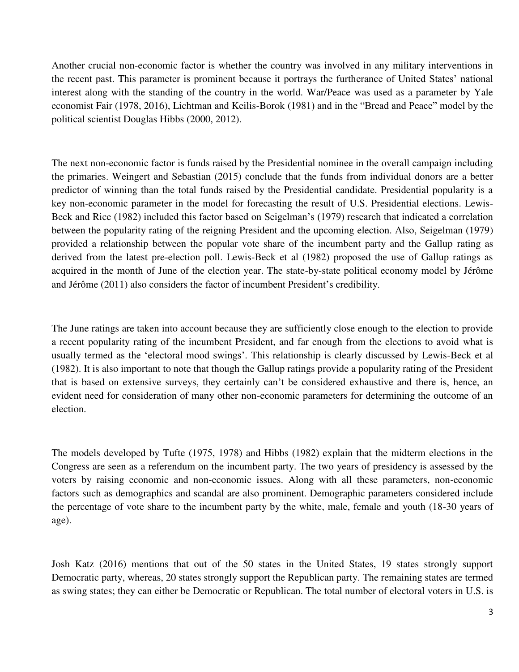Another crucial non-economic factor is whether the country was involved in any military interventions in the recent past. This parameter is prominent because it portrays the furtherance of United States' national interest along with the standing of the country in the world. War/Peace was used as a parameter by Yale economist Fair (1978, 2016), Lichtman and Keilis-Borok (1981) and in the "Bread and Peace" model by the political scientist Douglas Hibbs (2000, 2012).

The next non-economic factor is funds raised by the Presidential nominee in the overall campaign including the primaries. Weingert and Sebastian (2015) conclude that the funds from individual donors are a better predictor of winning than the total funds raised by the Presidential candidate. Presidential popularity is a key non-economic parameter in the model for forecasting the result of U.S. Presidential elections. Lewis-Beck and Rice (1982) included this factor based on Seigelman's (1979) research that indicated a correlation between the popularity rating of the reigning President and the upcoming election. Also, Seigelman (1979) provided a relationship between the popular vote share of the incumbent party and the Gallup rating as derived from the latest pre-election poll. Lewis-Beck et al (1982) proposed the use of Gallup ratings as acquired in the month of June of the election year. The state-by-state political economy model by Jérôme and Jérôme (2011) also considers the factor of incumbent President's credibility.

The June ratings are taken into account because they are sufficiently close enough to the election to provide a recent popularity rating of the incumbent President, and far enough from the elections to avoid what is usually termed as the 'electoral mood swings'. This relationship is clearly discussed by Lewis-Beck et al (1982). It is also important to note that though the Gallup ratings provide a popularity rating of the President that is based on extensive surveys, they certainly can't be considered exhaustive and there is, hence, an evident need for consideration of many other non-economic parameters for determining the outcome of an election.

The models developed by Tufte (1975, 1978) and Hibbs (1982) explain that the midterm elections in the Congress are seen as a referendum on the incumbent party. The two years of presidency is assessed by the voters by raising economic and non-economic issues. Along with all these parameters, non-economic factors such as demographics and scandal are also prominent. Demographic parameters considered include the percentage of vote share to the incumbent party by the white, male, female and youth (18-30 years of age).

Josh Katz (2016) mentions that out of the 50 states in the United States, 19 states strongly support Democratic party, whereas, 20 states strongly support the Republican party. The remaining states are termed as swing states; they can either be Democratic or Republican. The total number of electoral voters in U.S. is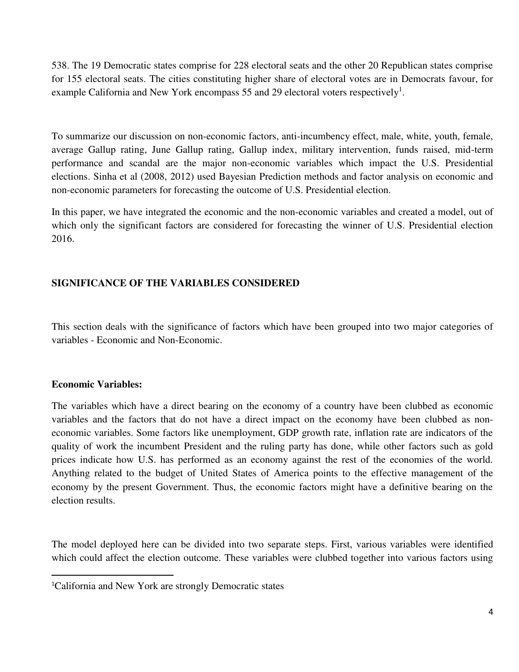538. The 19 Democratic states comprise for 228 electoral seats and the other 20 Republican states comprise for 155 electoral seats. The cities constituting higher share of electoral votes are in Democrats favour, for example California and New York encompass 55 and 29 electoral voters respectively<sup>1</sup>.

To summarize our discussion on non-economic factors, anti-incumbency effect, male, white, youth, female, average Gallup rating, June Gallup rating, Gallup index, military intervention, funds raised, mid-term performance and scandal are the major non-economic variables which impact the U.S. Presidential elections. Sinha et al (2008, 2012) used Bayesian Prediction methods and factor analysis on economic and non-economic parameters for forecasting the outcome of U.S. Presidential election.

In this paper, we have integrated the economic and the non-economic variables and created a model, out of which only the significant factors are considered for forecasting the winner of U.S. Presidential election 2016.

### **SIGNIFICANCE OF THE VARIABLES CONSIDERED**

This section deals with the significance of factors which have been grouped into two major categories of variables - Economic and Non-Economic.

### **Economic Variables:**

l

The variables which have a direct bearing on the economy of a country have been clubbed as economic variables and the factors that do not have a direct impact on the economy have been clubbed as noneconomic variables. Some factors like unemployment, GDP growth rate, inflation rate are indicators of the quality of work the incumbent President and the ruling party has done, while other factors such as gold prices indicate how U.S. has performed as an economy against the rest of the economies of the world. Anything related to the budget of United States of America points to the effective management of the economy by the present Government. Thus, the economic factors might have a definitive bearing on the election results.

The model deployed here can be divided into two separate steps. First, various variables were identified which could affect the election outcome. These variables were clubbed together into various factors using

<sup>1</sup>California and New York are strongly Democratic states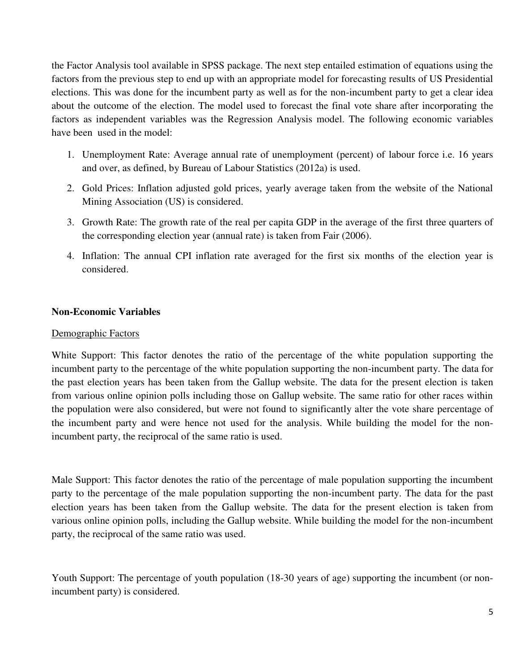the Factor Analysis tool available in SPSS package. The next step entailed estimation of equations using the factors from the previous step to end up with an appropriate model for forecasting results of US Presidential elections. This was done for the incumbent party as well as for the non-incumbent party to get a clear idea about the outcome of the election. The model used to forecast the final vote share after incorporating the factors as independent variables was the Regression Analysis model. The following economic variables have been used in the model:

- 1. Unemployment Rate: Average annual rate of unemployment (percent) of labour force i.e. 16 years and over, as defined, by Bureau of Labour Statistics (2012a) is used.
- 2. Gold Prices: Inflation adjusted gold prices, yearly average taken from the website of the National Mining Association (US) is considered.
- 3. Growth Rate: The growth rate of the real per capita GDP in the average of the first three quarters of the corresponding election year (annual rate) is taken from Fair (2006).
- 4. Inflation: The annual CPI inflation rate averaged for the first six months of the election year is considered.

### **Non-Economic Variables**

### Demographic Factors

White Support: This factor denotes the ratio of the percentage of the white population supporting the incumbent party to the percentage of the white population supporting the non-incumbent party. The data for the past election years has been taken from the Gallup website. The data for the present election is taken from various online opinion polls including those on Gallup website. The same ratio for other races within the population were also considered, but were not found to significantly alter the vote share percentage of the incumbent party and were hence not used for the analysis. While building the model for the nonincumbent party, the reciprocal of the same ratio is used.

Male Support: This factor denotes the ratio of the percentage of male population supporting the incumbent party to the percentage of the male population supporting the non-incumbent party. The data for the past election years has been taken from the Gallup website. The data for the present election is taken from various online opinion polls, including the Gallup website. While building the model for the non-incumbent party, the reciprocal of the same ratio was used.

Youth Support: The percentage of youth population (18-30 years of age) supporting the incumbent (or nonincumbent party) is considered.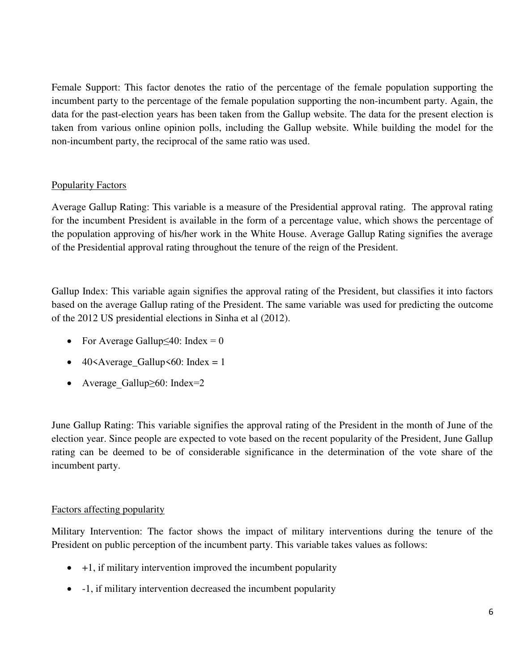Female Support: This factor denotes the ratio of the percentage of the female population supporting the incumbent party to the percentage of the female population supporting the non-incumbent party. Again, the data for the past-election years has been taken from the Gallup website. The data for the present election is taken from various online opinion polls, including the Gallup website. While building the model for the non-incumbent party, the reciprocal of the same ratio was used.

### Popularity Factors

Average Gallup Rating: This variable is a measure of the Presidential approval rating. The approval rating for the incumbent President is available in the form of a percentage value, which shows the percentage of the population approving of his/her work in the White House. Average Gallup Rating signifies the average of the Presidential approval rating throughout the tenure of the reign of the President.

Gallup Index: This variable again signifies the approval rating of the President, but classifies it into factors based on the average Gallup rating of the President. The same variable was used for predicting the outcome of the 2012 US presidential elections in Sinha et al (2012).

- For Average Gallup $\leq 40$ : Index = 0
- 40<Average Gallup<60: Index = 1
- Average Gallup $\geq 60$ : Index=2

June Gallup Rating: This variable signifies the approval rating of the President in the month of June of the election year. Since people are expected to vote based on the recent popularity of the President, June Gallup rating can be deemed to be of considerable significance in the determination of the vote share of the incumbent party.

### Factors affecting popularity

Military Intervention: The factor shows the impact of military interventions during the tenure of the President on public perception of the incumbent party. This variable takes values as follows:

- $+1$ , if military intervention improved the incumbent popularity
- -1, if military intervention decreased the incumbent popularity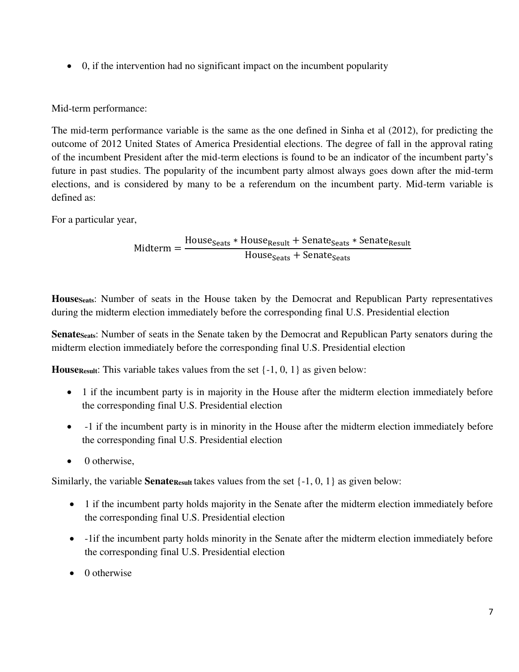0, if the intervention had no significant impact on the incumbent popularity

Mid-term performance:

The mid-term performance variable is the same as the one defined in Sinha et al (2012), for predicting the outcome of 2012 United States of America Presidential elections. The degree of fall in the approval rating of the incumbent President after the mid-term elections is found to be an indicator of the incumbent party's future in past studies. The popularity of the incumbent party almost always goes down after the mid-term elections, and is considered by many to be a referendum on the incumbent party. Mid-term variable is defined as:

For a particular year,

Midterm = House<sub>Seats</sub> \* House<sub>Result</sub> + Senate<sub>Seats</sub> \* Senate<sub>Result</sub> House<sub>Seats</sub> + Senate<sub>Seats</sub>

**HouseSeats**: Number of seats in the House taken by the Democrat and Republican Party representatives during the midterm election immediately before the corresponding final U.S. Presidential election

**Senate** Seats: Number of seats in the Senate taken by the Democrat and Republican Party senators during the midterm election immediately before the corresponding final U.S. Presidential election

**HouseResult:** This variable takes values from the set  $\{-1, 0, 1\}$  as given below:

- 1 if the incumbent party is in majority in the House after the midterm election immediately before the corresponding final U.S. Presidential election
- -1 if the incumbent party is in minority in the House after the midterm election immediately before the corresponding final U.S. Presidential election
- $\bullet$  0 otherwise.

Similarly, the variable **Senate**<sub>Result</sub> takes values from the set  $\{-1, 0, 1\}$  as given below:

- 1 if the incumbent party holds majority in the Senate after the midterm election immediately before the corresponding final U.S. Presidential election
- -1if the incumbent party holds minority in the Senate after the midterm election immediately before the corresponding final U.S. Presidential election
- $\bullet$  0 otherwise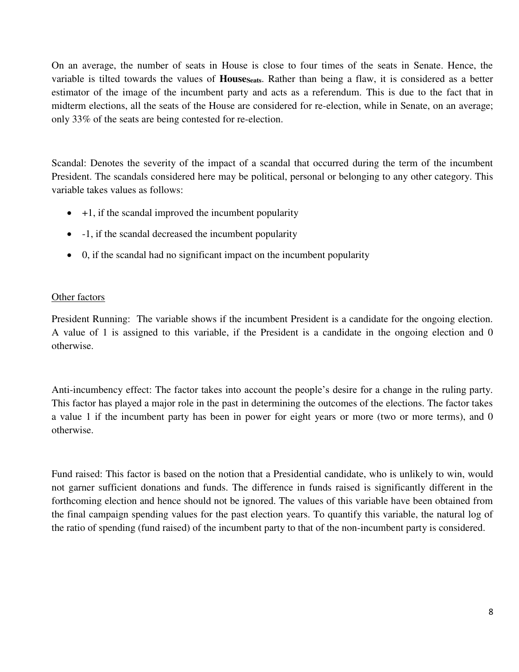On an average, the number of seats in House is close to four times of the seats in Senate. Hence, the variable is tilted towards the values of **HouseSeats**. Rather than being a flaw, it is considered as a better estimator of the image of the incumbent party and acts as a referendum. This is due to the fact that in midterm elections, all the seats of the House are considered for re-election, while in Senate, on an average; only 33% of the seats are being contested for re-election.

Scandal: Denotes the severity of the impact of a scandal that occurred during the term of the incumbent President. The scandals considered here may be political, personal or belonging to any other category. This variable takes values as follows:

- $+1$ , if the scandal improved the incumbent popularity
- -1, if the scandal decreased the incumbent popularity
- 0, if the scandal had no significant impact on the incumbent popularity

### Other factors

President Running: The variable shows if the incumbent President is a candidate for the ongoing election. A value of 1 is assigned to this variable, if the President is a candidate in the ongoing election and 0 otherwise.

Anti-incumbency effect: The factor takes into account the people's desire for a change in the ruling party. This factor has played a major role in the past in determining the outcomes of the elections. The factor takes a value 1 if the incumbent party has been in power for eight years or more (two or more terms), and 0 otherwise.

Fund raised: This factor is based on the notion that a Presidential candidate, who is unlikely to win, would not garner sufficient donations and funds. The difference in funds raised is significantly different in the forthcoming election and hence should not be ignored. The values of this variable have been obtained from the final campaign spending values for the past election years. To quantify this variable, the natural log of the ratio of spending (fund raised) of the incumbent party to that of the non-incumbent party is considered.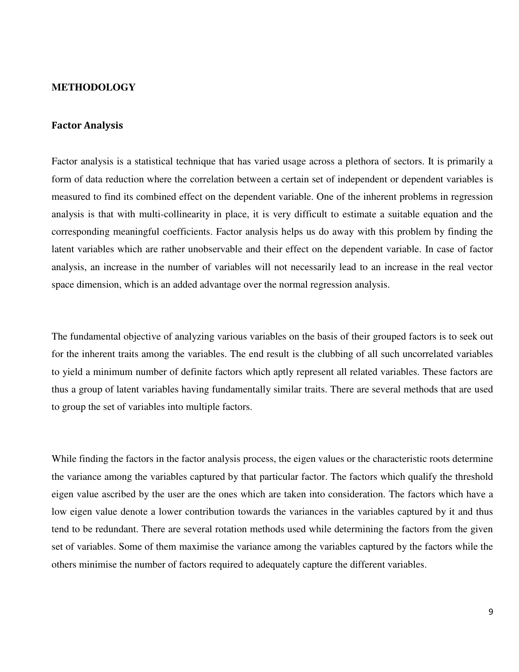#### **METHODOLOGY**

### **Factor Analysis**

Factor analysis is a statistical technique that has varied usage across a plethora of sectors. It is primarily a form of data reduction where the correlation between a certain set of independent or dependent variables is measured to find its combined effect on the dependent variable. One of the inherent problems in regression analysis is that with multi-collinearity in place, it is very difficult to estimate a suitable equation and the corresponding meaningful coefficients. Factor analysis helps us do away with this problem by finding the latent variables which are rather unobservable and their effect on the dependent variable. In case of factor analysis, an increase in the number of variables will not necessarily lead to an increase in the real vector space dimension, which is an added advantage over the normal regression analysis.

The fundamental objective of analyzing various variables on the basis of their grouped factors is to seek out for the inherent traits among the variables. The end result is the clubbing of all such uncorrelated variables to yield a minimum number of definite factors which aptly represent all related variables. These factors are thus a group of latent variables having fundamentally similar traits. There are several methods that are used to group the set of variables into multiple factors.

While finding the factors in the factor analysis process, the eigen values or the characteristic roots determine the variance among the variables captured by that particular factor. The factors which qualify the threshold eigen value ascribed by the user are the ones which are taken into consideration. The factors which have a low eigen value denote a lower contribution towards the variances in the variables captured by it and thus tend to be redundant. There are several rotation methods used while determining the factors from the given set of variables. Some of them maximise the variance among the variables captured by the factors while the others minimise the number of factors required to adequately capture the different variables.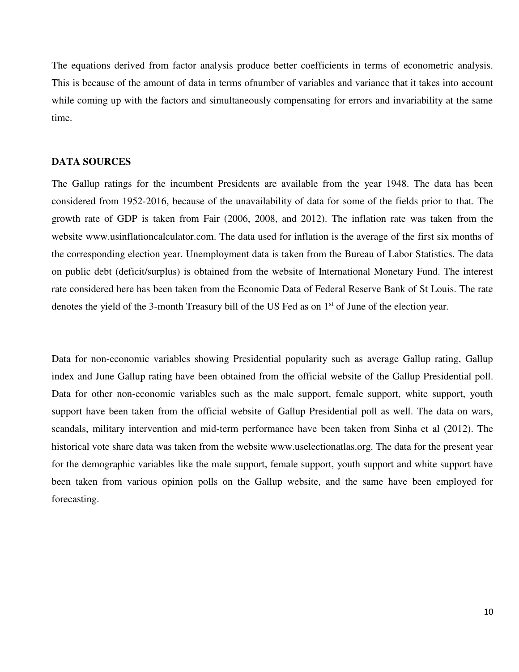The equations derived from factor analysis produce better coefficients in terms of econometric analysis. This is because of the amount of data in terms ofnumber of variables and variance that it takes into account while coming up with the factors and simultaneously compensating for errors and invariability at the same time.

### **DATA SOURCES**

The Gallup ratings for the incumbent Presidents are available from the year 1948. The data has been considered from 1952-2016, because of the unavailability of data for some of the fields prior to that. The growth rate of GDP is taken from Fair (2006, 2008, and 2012). The inflation rate was taken from the website www.usinflationcalculator.com. The data used for inflation is the average of the first six months of the corresponding election year. Unemployment data is taken from the Bureau of Labor Statistics. The data on public debt (deficit/surplus) is obtained from the website of International Monetary Fund. The interest rate considered here has been taken from the Economic Data of Federal Reserve Bank of St Louis. The rate denotes the yield of the 3-month Treasury bill of the US Fed as on 1<sup>st</sup> of June of the election vear.

Data for non-economic variables showing Presidential popularity such as average Gallup rating, Gallup index and June Gallup rating have been obtained from the official website of the Gallup Presidential poll. Data for other non-economic variables such as the male support, female support, white support, youth support have been taken from the official website of Gallup Presidential poll as well. The data on wars, scandals, military intervention and mid-term performance have been taken from Sinha et al (2012). The historical vote share data was taken from the website www.uselectionatlas.org. The data for the present year for the demographic variables like the male support, female support, youth support and white support have been taken from various opinion polls on the Gallup website, and the same have been employed for forecasting.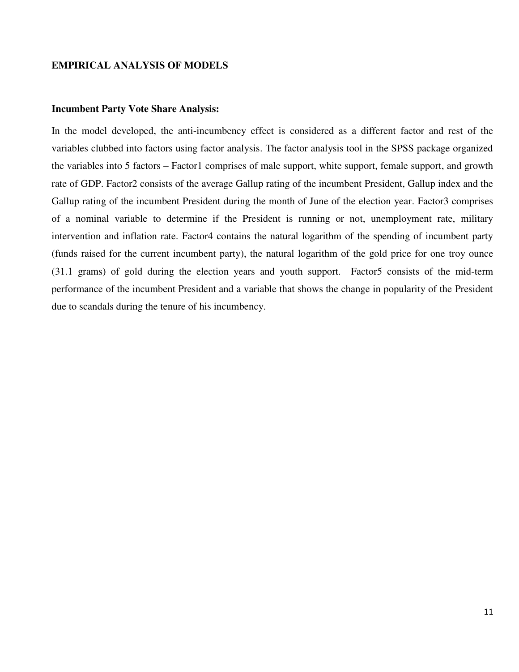### **EMPIRICAL ANALYSIS OF MODELS**

#### **Incumbent Party Vote Share Analysis:**

In the model developed, the anti-incumbency effect is considered as a different factor and rest of the variables clubbed into factors using factor analysis. The factor analysis tool in the SPSS package organized the variables into 5 factors – Factor1 comprises of male support, white support, female support, and growth rate of GDP. Factor2 consists of the average Gallup rating of the incumbent President, Gallup index and the Gallup rating of the incumbent President during the month of June of the election year. Factor3 comprises of a nominal variable to determine if the President is running or not, unemployment rate, military intervention and inflation rate. Factor4 contains the natural logarithm of the spending of incumbent party (funds raised for the current incumbent party), the natural logarithm of the gold price for one troy ounce (31.1 grams) of gold during the election years and youth support. Factor5 consists of the mid-term performance of the incumbent President and a variable that shows the change in popularity of the President due to scandals during the tenure of his incumbency.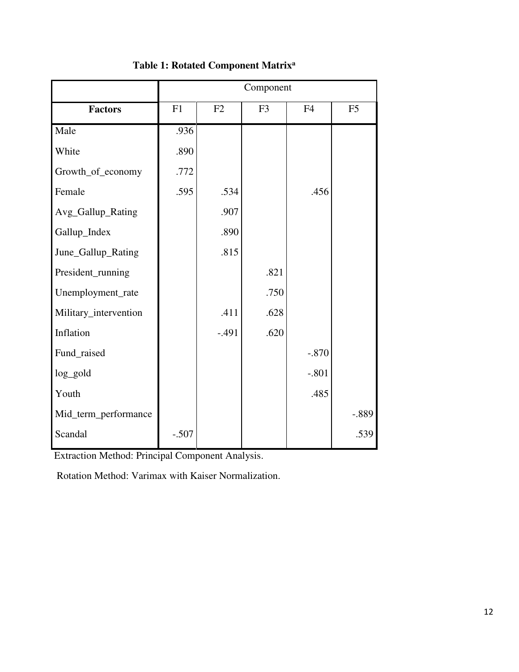|                       | Component |         |                |                |                |  |  |
|-----------------------|-----------|---------|----------------|----------------|----------------|--|--|
| <b>Factors</b>        | F1        | F2      | F <sub>3</sub> | F <sub>4</sub> | F <sub>5</sub> |  |  |
| Male                  | .936      |         |                |                |                |  |  |
| White                 | .890      |         |                |                |                |  |  |
| Growth_of_economy     | .772      |         |                |                |                |  |  |
| Female                | .595      | .534    |                | .456           |                |  |  |
| Avg_Gallup_Rating     |           | .907    |                |                |                |  |  |
| Gallup_Index          |           | .890    |                |                |                |  |  |
| June_Gallup_Rating    |           | .815    |                |                |                |  |  |
| President_running     |           |         | .821           |                |                |  |  |
| Unemployment_rate     |           |         | .750           |                |                |  |  |
| Military_intervention |           | .411    | .628           |                |                |  |  |
| Inflation             |           | $-.491$ | .620           |                |                |  |  |
| Fund_raised           |           |         |                | $-.870$        |                |  |  |
| log_gold              |           |         |                | $-.801$        |                |  |  |
| Youth                 |           |         |                | .485           |                |  |  |
| Mid_term_performance  |           |         |                |                | $-.889$        |  |  |
| Scandal               | $-.507$   |         |                |                | .539           |  |  |

### **Table 1: Rotated Component Matrix<sup>a</sup>**

Extraction Method: Principal Component Analysis.

Rotation Method: Varimax with Kaiser Normalization.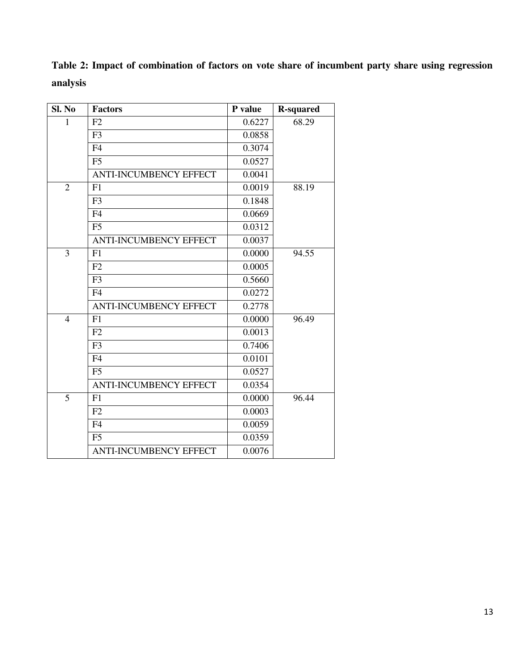**Table 2: Impact of combination of factors on vote share of incumbent party share using regression analysis** 

| Sl. No         | <b>Factors</b>                | P value | <b>R-squared</b> |
|----------------|-------------------------------|---------|------------------|
| 1              | F2                            | 0.6227  | 68.29            |
|                | F <sub>3</sub>                | 0.0858  |                  |
|                | F <sub>4</sub>                | 0.3074  |                  |
|                | F <sub>5</sub>                | 0.0527  |                  |
|                | <b>ANTI-INCUMBENCY EFFECT</b> | 0.0041  |                  |
| $\overline{2}$ | F1                            | 0.0019  | 88.19            |
|                | F <sub>3</sub>                | 0.1848  |                  |
|                | F <sub>4</sub>                | 0.0669  |                  |
|                | F <sub>5</sub>                | 0.0312  |                  |
|                | <b>ANTI-INCUMBENCY EFFECT</b> | 0.0037  |                  |
| 3              | F1                            | 0.0000  | 94.55            |
|                | F2                            | 0.0005  |                  |
|                | F <sub>3</sub>                | 0.5660  |                  |
|                | F <sub>4</sub>                | 0.0272  |                  |
|                | <b>ANTI-INCUMBENCY EFFECT</b> | 0.2778  |                  |
| $\overline{4}$ | F1                            | 0.0000  | 96.49            |
|                | F2                            | 0.0013  |                  |
|                | F <sub>3</sub>                | 0.7406  |                  |
|                | F <sub>4</sub>                | 0.0101  |                  |
|                | F <sub>5</sub>                | 0.0527  |                  |
|                | <b>ANTI-INCUMBENCY EFFECT</b> | 0.0354  |                  |
| $\overline{5}$ | F1                            | 0.0000  | 96.44            |
|                | F2                            | 0.0003  |                  |
|                | F <sub>4</sub>                | 0.0059  |                  |
|                | F <sub>5</sub>                | 0.0359  |                  |
|                | <b>ANTI-INCUMBENCY EFFECT</b> | 0.0076  |                  |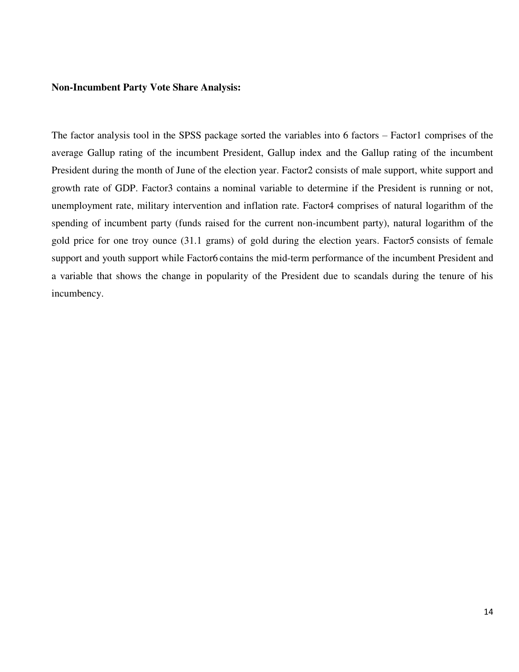#### **Non-Incumbent Party Vote Share Analysis:**

The factor analysis tool in the SPSS package sorted the variables into 6 factors – Factor1 comprises of the average Gallup rating of the incumbent President, Gallup index and the Gallup rating of the incumbent President during the month of June of the election year. Factor2 consists of male support, white support and growth rate of GDP. Factor3 contains a nominal variable to determine if the President is running or not, unemployment rate, military intervention and inflation rate. Factor4 comprises of natural logarithm of the spending of incumbent party (funds raised for the current non-incumbent party), natural logarithm of the gold price for one troy ounce (31.1 grams) of gold during the election years. Factor5 consists of female support and youth support while Factor6 contains the mid-term performance of the incumbent President and a variable that shows the change in popularity of the President due to scandals during the tenure of his incumbency.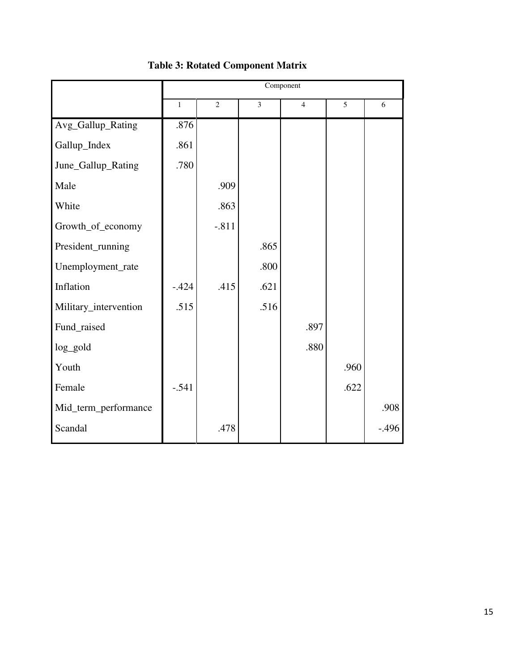|                       |              |                |      | Component      |      |         |
|-----------------------|--------------|----------------|------|----------------|------|---------|
|                       | $\mathbf{1}$ | $\overline{2}$ | 3    | $\overline{4}$ | 5    | 6       |
| Avg_Gallup_Rating     | .876         |                |      |                |      |         |
| Gallup_Index          | .861         |                |      |                |      |         |
| June_Gallup_Rating    | .780         |                |      |                |      |         |
| Male                  |              | .909           |      |                |      |         |
| White                 |              | .863           |      |                |      |         |
| Growth_of_economy     |              | $-.811$        |      |                |      |         |
| President_running     |              |                | .865 |                |      |         |
| Unemployment_rate     |              |                | .800 |                |      |         |
| Inflation             | $-.424$      | .415           | .621 |                |      |         |
| Military_intervention | .515         |                | .516 |                |      |         |
| Fund_raised           |              |                |      | .897           |      |         |
| log_gold              |              |                |      | .880           |      |         |
| Youth                 |              |                |      |                | .960 |         |
| Female                | $-.541$      |                |      |                | .622 |         |
| Mid_term_performance  |              |                |      |                |      | .908    |
| Scandal               |              | .478           |      |                |      | $-.496$ |

# **Table 3: Rotated Component Matrix**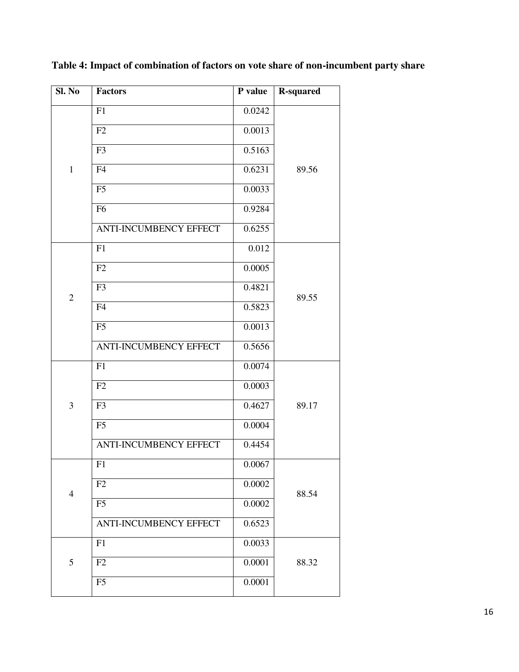| Sl. No         | <b>Factors</b>                | P value | <b>R-squared</b> |
|----------------|-------------------------------|---------|------------------|
|                | F1                            | 0.0242  |                  |
|                | F2                            | 0.0013  |                  |
|                | F <sub>3</sub>                | 0.5163  |                  |
| $\mathbf{1}$   | F4                            | 0.6231  | 89.56            |
|                | F <sub>5</sub>                | 0.0033  |                  |
|                | F <sub>6</sub>                | 0.9284  |                  |
|                | <b>ANTI-INCUMBENCY EFFECT</b> | 0.6255  |                  |
|                | F1                            | 0.012   |                  |
|                | F2                            | 0.0005  |                  |
| $\overline{2}$ | F <sub>3</sub>                | 0.4821  | 89.55            |
|                | F4                            | 0.5823  |                  |
|                | F <sub>5</sub>                | 0.0013  |                  |
|                | <b>ANTI-INCUMBENCY EFFECT</b> | 0.5656  |                  |
|                | F1                            | 0.0074  |                  |
|                | F2                            | 0.0003  |                  |
| 3              | F3                            | 0.4627  | 89.17            |
|                | F <sub>5</sub>                | 0.0004  |                  |
|                | <b>ANTI-INCUMBENCY EFFECT</b> | 0.4454  |                  |
|                | F1                            | 0.0067  |                  |
| $\overline{4}$ | F2                            | 0.0002  | 88.54            |
|                | F <sub>5</sub>                | 0.0002  |                  |
|                | ANTI-INCUMBENCY EFFECT        | 0.6523  |                  |
|                | F1                            | 0.0033  |                  |
| 5              | F2                            | 0.0001  | 88.32            |
|                | F <sub>5</sub>                | 0.0001  |                  |

**Table 4: Impact of combination of factors on vote share of non-incumbent party share**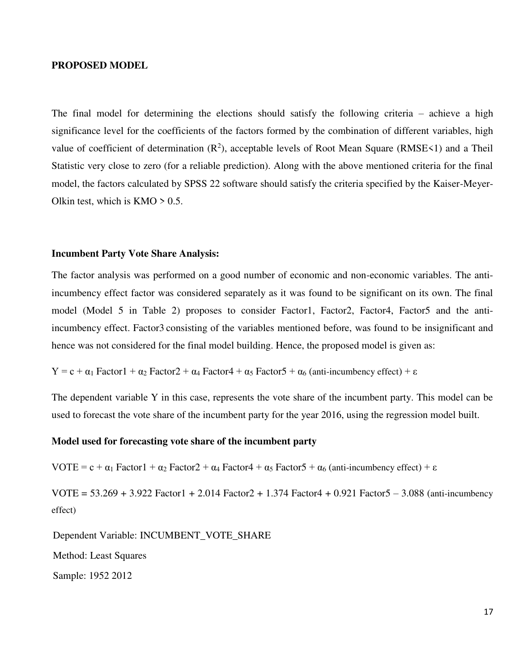#### **PROPOSED MODEL**

The final model for determining the elections should satisfy the following criteria – achieve a high significance level for the coefficients of the factors formed by the combination of different variables, high value of coefficient of determination  $(R^2)$ , acceptable levels of Root Mean Square (RMSE<1) and a Theil Statistic very close to zero (for a reliable prediction). Along with the above mentioned criteria for the final model, the factors calculated by SPSS 22 software should satisfy the criteria specified by the Kaiser-Meyer-Olkin test, which is  $KMO > 0.5$ .

### **Incumbent Party Vote Share Analysis:**

The factor analysis was performed on a good number of economic and non-economic variables. The antiincumbency effect factor was considered separately as it was found to be significant on its own. The final model (Model 5 in Table 2) proposes to consider Factor1, Factor2, Factor4, Factor5 and the antiincumbency effect. Factor3 consisting of the variables mentioned before, was found to be insignificant and hence was not considered for the final model building. Hence, the proposed model is given as:

```
Y = c + \alpha_1 Factor1 + \alpha_2 Factor2 + \alpha_4 Factor4 + \alpha_5 Factor5 + \alpha_6 (anti-incumbency effect) + \varepsilon
```
The dependent variable Y in this case, represents the vote share of the incumbent party. This model can be used to forecast the vote share of the incumbent party for the year 2016, using the regression model built.

### **Model used for forecasting vote share of the incumbent party**

VOTE = c +  $\alpha_1$  Factor1 +  $\alpha_2$  Factor2 +  $\alpha_4$  Factor4 +  $\alpha_5$  Factor5 +  $\alpha_6$  (anti-incumbency effect) +  $\varepsilon$ 

VOTE =  $53.269 + 3.922$  Factor1 + 2.014 Factor2 + 1.374 Factor4 + 0.921 Factor5 - 3.088 (anti-incumbency effect)

Dependent Variable: INCUMBENT\_VOTE\_SHARE Method: Least Squares Sample: 1952 2012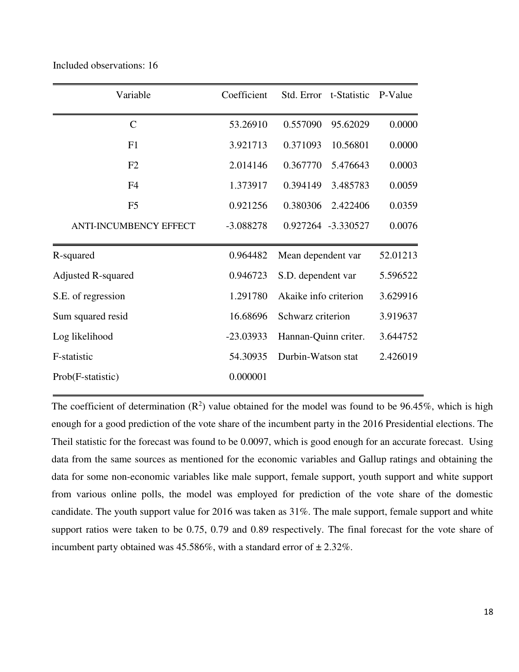| Variable                      | Coefficient | Std. Error t-Statistic |          | P-Value  |
|-------------------------------|-------------|------------------------|----------|----------|
| $\mathcal{C}$                 | 53.26910    | 0.557090               | 95.62029 | 0.0000   |
| F1                            | 3.921713    | 0.371093               | 10.56801 | 0.0000   |
| F2                            | 2.014146    | 0.367770               | 5.476643 | 0.0003   |
| F <sub>4</sub>                | 1.373917    | 0.394149               | 3.485783 | 0.0059   |
| F <sub>5</sub>                | 0.921256    | 0.380306               | 2.422406 | 0.0359   |
| <b>ANTI-INCUMBENCY EFFECT</b> | $-3.088278$ | 0.927264 -3.330527     |          | 0.0076   |
| R-squared                     | 0.964482    | Mean dependent var     |          | 52.01213 |
| <b>Adjusted R-squared</b>     | 0.946723    | S.D. dependent var     |          | 5.596522 |
| S.E. of regression            | 1.291780    | Akaike info criterion  |          | 3.629916 |
| Sum squared resid             | 16.68696    | Schwarz criterion      |          | 3.919637 |
| Log likelihood                | $-23.03933$ | Hannan-Quinn criter.   |          | 3.644752 |
| F-statistic                   | 54.30935    | Durbin-Watson stat     |          | 2.426019 |
| Prob(F-statistic)             | 0.000001    |                        |          |          |

Included observations: 16

The coefficient of determination  $(R^2)$  value obtained for the model was found to be 96.45%, which is high enough for a good prediction of the vote share of the incumbent party in the 2016 Presidential elections. The Theil statistic for the forecast was found to be 0.0097, which is good enough for an accurate forecast. Using data from the same sources as mentioned for the economic variables and Gallup ratings and obtaining the data for some non-economic variables like male support, female support, youth support and white support from various online polls, the model was employed for prediction of the vote share of the domestic candidate. The youth support value for 2016 was taken as 31%. The male support, female support and white support ratios were taken to be 0.75, 0.79 and 0.89 respectively. The final forecast for the vote share of incumbent party obtained was  $45.586\%$ , with a standard error of  $\pm 2.32\%$ .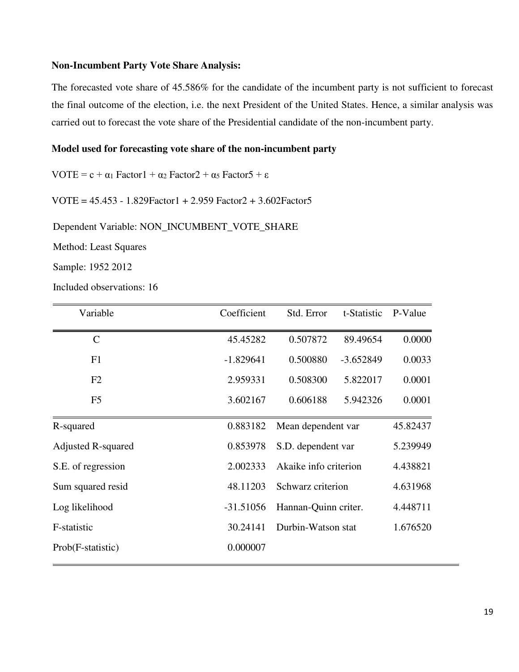### **Non-Incumbent Party Vote Share Analysis:**

The forecasted vote share of 45.586% for the candidate of the incumbent party is not sufficient to forecast the final outcome of the election, i.e. the next President of the United States. Hence, a similar analysis was carried out to forecast the vote share of the Presidential candidate of the non-incumbent party.

### **Model used for forecasting vote share of the non-incumbent party**

VOTE =  $c + \alpha_1$  Factor1 +  $\alpha_2$  Factor2 +  $\alpha_5$  Factor5 +  $\varepsilon$ 

VOTE = 45.453 - 1.829Factor1 + 2.959 Factor2 + 3.602Factor5

Dependent Variable: NON\_INCUMBENT\_VOTE\_SHARE

Method: Least Squares

Sample: 1952 2012

Included observations: 16

| Variable                  | Coefficient | Std. Error            | t-Statistic | P-Value  |
|---------------------------|-------------|-----------------------|-------------|----------|
| $\mathbf C$               | 45.45282    | 0.507872              | 89.49654    | 0.0000   |
| F1                        | $-1.829641$ | 0.500880              | $-3.652849$ | 0.0033   |
| F2                        | 2.959331    | 0.508300              | 5.822017    | 0.0001   |
| F <sub>5</sub>            | 3.602167    | 0.606188              | 5.942326    | 0.0001   |
| R-squared                 | 0.883182    | Mean dependent var    |             | 45.82437 |
| <b>Adjusted R-squared</b> | 0.853978    | S.D. dependent var    |             | 5.239949 |
| S.E. of regression        | 2.002333    | Akaike info criterion |             | 4.438821 |
| Sum squared resid         | 48.11203    | Schwarz criterion     |             | 4.631968 |
| Log likelihood            | $-31.51056$ | Hannan-Quinn criter.  |             | 4.448711 |
| F-statistic               | 30.24141    | Durbin-Watson stat    |             | 1.676520 |
| Prob(F-statistic)         | 0.000007    |                       |             |          |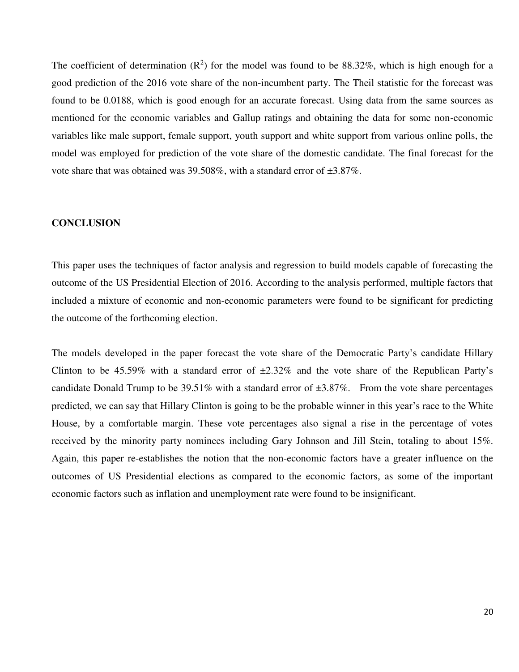The coefficient of determination  $(R^2)$  for the model was found to be 88.32%, which is high enough for a good prediction of the 2016 vote share of the non-incumbent party. The Theil statistic for the forecast was found to be 0.0188, which is good enough for an accurate forecast. Using data from the same sources as mentioned for the economic variables and Gallup ratings and obtaining the data for some non-economic variables like male support, female support, youth support and white support from various online polls, the model was employed for prediction of the vote share of the domestic candidate. The final forecast for the vote share that was obtained was 39.508%, with a standard error of ±3.87%.

### **CONCLUSION**

This paper uses the techniques of factor analysis and regression to build models capable of forecasting the outcome of the US Presidential Election of 2016. According to the analysis performed, multiple factors that included a mixture of economic and non-economic parameters were found to be significant for predicting the outcome of the forthcoming election.

The models developed in the paper forecast the vote share of the Democratic Party's candidate Hillary Clinton to be 45.59% with a standard error of  $\pm 2.32\%$  and the vote share of the Republican Party's candidate Donald Trump to be 39.51% with a standard error of  $\pm 3.87$ %. From the vote share percentages predicted, we can say that Hillary Clinton is going to be the probable winner in this year's race to the White House, by a comfortable margin. These vote percentages also signal a rise in the percentage of votes received by the minority party nominees including Gary Johnson and Jill Stein, totaling to about 15%. Again, this paper re-establishes the notion that the non-economic factors have a greater influence on the outcomes of US Presidential elections as compared to the economic factors, as some of the important economic factors such as inflation and unemployment rate were found to be insignificant.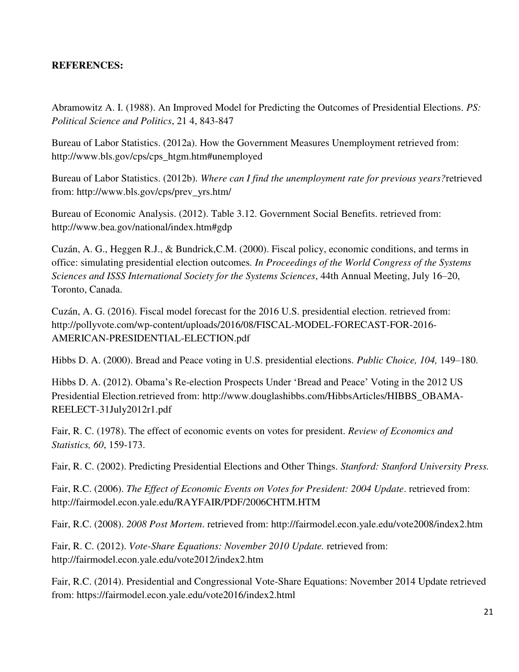### **REFERENCES:**

Abramowitz A. I. (1988). An Improved Model for Predicting the Outcomes of Presidential Elections. *PS: Political Science and Politics*, 21 4, 843-847

Bureau of Labor Statistics. (2012a). How the Government Measures Unemployment retrieved from: http://www.bls.gov/cps/cps\_htgm.htm#unemployed

Bureau of Labor Statistics. (2012b). *Where can I find the unemployment rate for previous years?*retrieved from: http://www.bls.gov/cps/prev\_yrs.htm/

Bureau of Economic Analysis. (2012). Table 3.12. Government Social Benefits. retrieved from: http://www.bea.gov/national/index.htm#gdp

Cuzán, A. G., Heggen R.J., & Bundrick,C.M. (2000). Fiscal policy, economic conditions, and terms in office: simulating presidential election outcomes*. In Proceedings of the World Congress of the Systems Sciences and ISSS International Society for the Systems Sciences*, 44th Annual Meeting, July 16–20, Toronto, Canada.

Cuzán, A. G. (2016). Fiscal model forecast for the 2016 U.S. presidential election. retrieved from: http://pollyvote.com/wp-content/uploads/2016/08/FISCAL-MODEL-FORECAST-FOR-2016- AMERICAN-PRESIDENTIAL-ELECTION.pdf

Hibbs D. A. (2000). Bread and Peace voting in U.S. presidential elections. *Public Choice, 104,* 149–180.

Hibbs D. A. (2012). Obama's Re-election Prospects Under 'Bread and Peace' Voting in the 2012 US Presidential Election.retrieved from: http://www.douglashibbs.com/HibbsArticles/HIBBS\_OBAMA-REELECT-31July2012r1.pdf

Fair, R. C. (1978). The effect of economic events on votes for president. *Review of Economics and Statistics, 60*, 159-173.

Fair, R. C. (2002). Predicting Presidential Elections and Other Things. *Stanford: Stanford University Press.* 

Fair, R.C. (2006). *The Effect of Economic Events on Votes for President: 2004 Update*. retrieved from: http://fairmodel.econ.yale.edu/RAYFAIR/PDF/2006CHTM.HTM

Fair, R.C. (2008). *2008 Post Mortem*. retrieved from: http://fairmodel.econ.yale.edu/vote2008/index2.htm

Fair, R. C. (2012). *Vote-Share Equations: November 2010 Update.* retrieved from: http://fairmodel.econ.yale.edu/vote2012/index2.htm

Fair, R.C. (2014). Presidential and Congressional Vote-Share Equations: November 2014 Update retrieved from: https://fairmodel.econ.yale.edu/vote2016/index2.html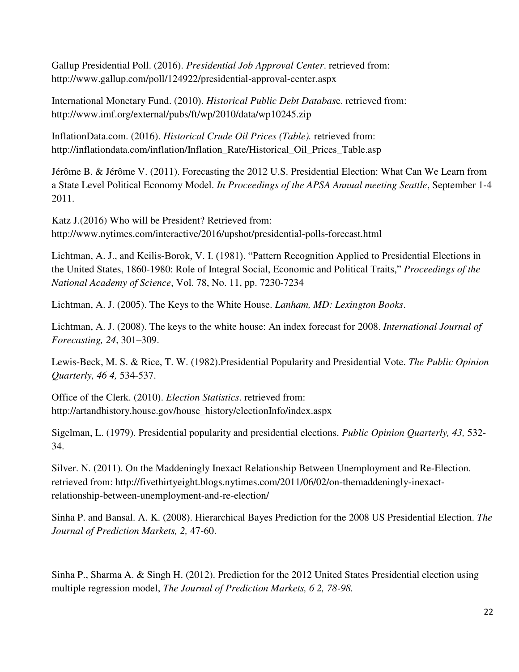Gallup Presidential Poll. (2016). *Presidential Job Approval Center*. retrieved from: http://www.gallup.com/poll/124922/presidential-approval-center.aspx

International Monetary Fund. (2010). *Historical Public Debt Databas*e. retrieved from: http://www.imf.org/external/pubs/ft/wp/2010/data/wp10245.zip

InflationData.com. (2016). *Historical Crude Oil Prices (Table).* retrieved from: http://inflationdata.com/inflation/Inflation\_Rate/Historical\_Oil\_Prices\_Table.asp

Jérôme B. & Jérôme V. (2011). Forecasting the 2012 U.S. Presidential Election: What Can We Learn from a State Level Political Economy Model. *In Proceedings of the APSA Annual meeting Seattle*, September 1-4 2011.

Katz J.(2016) Who will be President? Retrieved from: http://www.nytimes.com/interactive/2016/upshot/presidential-polls-forecast.html

Lichtman, A. J., and Keilis-Borok, V. I. (1981). "Pattern Recognition Applied to Presidential Elections in the United States, 1860-1980: Role of Integral Social, Economic and Political Traits," *Proceedings of the National Academy of Science*, Vol. 78, No. 11, pp. 7230-7234

Lichtman, A. J. (2005). The Keys to the White House. *Lanham, MD: Lexington Books*.

Lichtman, A. J. (2008). The keys to the white house: An index forecast for 2008. *International Journal of Forecasting, 24*, 301–309.

Lewis-Beck, M. S. & Rice, T. W. (1982).Presidential Popularity and Presidential Vote. *The Public Opinion Quarterly, 46 4,* 534-537.

Office of the Clerk. (2010). *Election Statistics*. retrieved from: http://artandhistory.house.gov/house\_history/electionInfo/index.aspx

Sigelman, L. (1979). Presidential popularity and presidential elections. *Public Opinion Quarterly, 43,* 532- 34.

Silver. N. (2011). On the Maddeningly Inexact Relationship Between Unemployment and Re-Election*.*  retrieved from: http://fivethirtyeight.blogs.nytimes.com/2011/06/02/on-themaddeningly-inexactrelationship-between-unemployment-and-re-election/

Sinha P. and Bansal. A. K. (2008). Hierarchical Bayes Prediction for the 2008 US Presidential Election. *The Journal of Prediction Markets, 2,* 47-60.

Sinha P., Sharma A. & Singh H. (2012). Prediction for the 2012 United States Presidential election using multiple regression model, *The Journal of Prediction Markets, 6 2, 78-98.*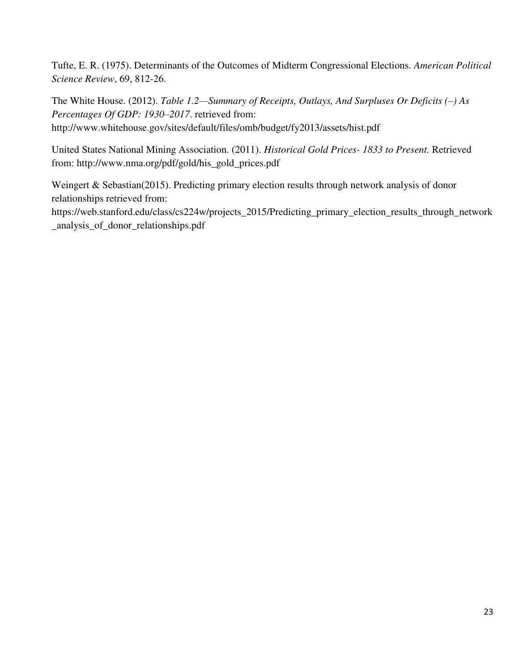Tufte, E. R. (1975). Determinants of the Outcomes of Midterm Congressional Elections. *American Political Science Review*, 69, 812-26.

The White House. (2012). *Table 1.2—Summary of Receipts, Outlays, And Surpluses Or Deficits (–) As Percentages Of GDP: 1930–2017*. retrieved from: http://www.whitehouse.gov/sites/default/files/omb/budget/fy2013/assets/hist.pdf

United States National Mining Association. (2011). *Historical Gold Prices- 1833 to Present.* Retrieved from: http://www.nma.org/pdf/gold/his\_gold\_prices.pdf

Weingert & Sebastian(2015). Predicting primary election results through network analysis of donor relationships retrieved from:

https://web.stanford.edu/class/cs224w/projects\_2015/Predicting\_primary\_election\_results\_through\_network \_analysis\_of\_donor\_relationships.pdf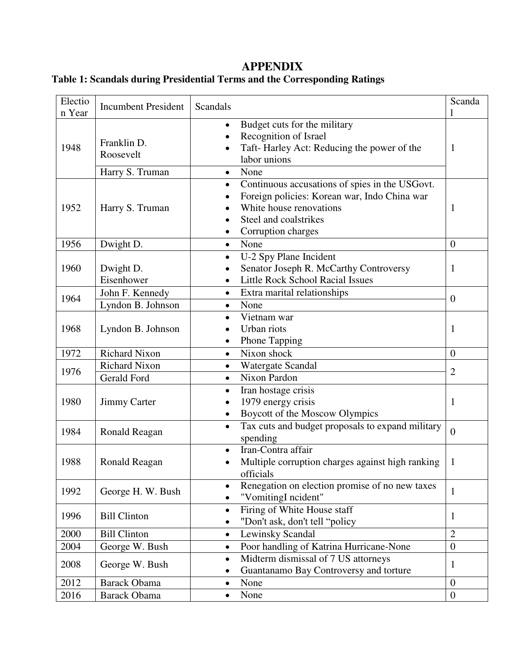# **APPENDIX**

# **Table 1: Scandals during Presidential Terms and the Corresponding Ratings**

| Electio<br>n Year | <b>Incumbent President</b>                  | <b>Scandals</b>                                                                                                                                                                       | Scanda           |
|-------------------|---------------------------------------------|---------------------------------------------------------------------------------------------------------------------------------------------------------------------------------------|------------------|
| 1948              | Franklin D.<br>Roosevelt<br>Harry S. Truman | Budget cuts for the military<br>$\bullet$<br>Recognition of Israel<br>Taft-Harley Act: Reducing the power of the<br>labor unions<br>None<br>$\bullet$                                 | 1                |
| 1952              | Harry S. Truman                             | Continuous accusations of spies in the USGovt.<br>$\bullet$<br>Foreign policies: Korean war, Indo China war<br>White house renovations<br>Steel and coalstrikes<br>Corruption charges | 1                |
| 1956              | Dwight D.                                   | None<br>$\bullet$                                                                                                                                                                     | $\overline{0}$   |
| 1960              | Dwight D.<br>Eisenhower                     | U-2 Spy Plane Incident<br>Senator Joseph R. McCarthy Controversy<br><b>Little Rock School Racial Issues</b>                                                                           | 1                |
| 1964              | John F. Kennedy<br>Lyndon B. Johnson        | Extra marital relationships<br>$\bullet$<br>None<br>$\bullet$                                                                                                                         | $\overline{0}$   |
| 1968              | Lyndon B. Johnson                           | Vietnam war<br>Urban riots<br><b>Phone Tapping</b>                                                                                                                                    | 1                |
| 1972              | <b>Richard Nixon</b>                        | Nixon shock<br>$\bullet$                                                                                                                                                              | $\overline{0}$   |
|                   | <b>Richard Nixon</b>                        | Watergate Scandal<br>$\bullet$                                                                                                                                                        |                  |
| 1976              | <b>Gerald Ford</b>                          | Nixon Pardon<br>$\bullet$                                                                                                                                                             | $\overline{2}$   |
| 1980              | <b>Jimmy Carter</b>                         | Iran hostage crisis<br>$\bullet$<br>1979 energy crisis<br>Boycott of the Moscow Olympics                                                                                              | 1                |
| 1984              | Ronald Reagan                               | Tax cuts and budget proposals to expand military<br>$\bullet$<br>spending                                                                                                             | $\overline{0}$   |
| 1988              | Ronald Reagan                               | Iran-Contra affair<br>$\bullet$<br>Multiple corruption charges against high ranking<br>officials                                                                                      | 1                |
| 1992              | George H. W. Bush                           | Renegation on election promise of no new taxes<br>"VomitingI ncident"                                                                                                                 | 1                |
| 1996              | <b>Bill Clinton</b>                         | Firing of White House staff<br>"Don't ask, don't tell "policy                                                                                                                         | 1                |
| 2000              | <b>Bill Clinton</b>                         | <b>Lewinsky Scandal</b>                                                                                                                                                               | $\overline{2}$   |
| 2004              | George W. Bush                              | Poor handling of Katrina Hurricane-None<br>$\bullet$                                                                                                                                  | $\boldsymbol{0}$ |
| 2008              | George W. Bush                              | Midterm dismissal of 7 US attorneys<br>$\bullet$<br>Guantanamo Bay Controversy and torture                                                                                            | 1                |
| 2012              | <b>Barack Obama</b>                         | None<br>$\bullet$                                                                                                                                                                     | $\boldsymbol{0}$ |
| 2016              | <b>Barack Obama</b>                         | None                                                                                                                                                                                  | $\boldsymbol{0}$ |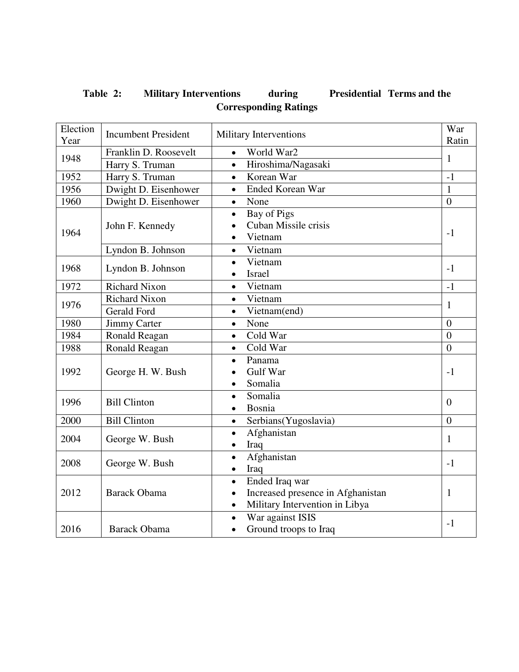# **Table 2: Military Interventions during Presidential Terms and the Corresponding Ratings**

| Election | <b>Incumbent President</b> | Military Interventions                         | War            |
|----------|----------------------------|------------------------------------------------|----------------|
| Year     |                            |                                                | Ratin          |
| 1948     | Franklin D. Roosevelt      | World War2<br>$\bullet$                        | $\mathbf{1}$   |
|          | Harry S. Truman            | Hiroshima/Nagasaki<br>$\bullet$                |                |
| 1952     | Harry S. Truman            | Korean War<br>$\bullet$                        | $-1$           |
| 1956     | Dwight D. Eisenhower       | <b>Ended Korean War</b><br>$\bullet$           | $\mathbf{1}$   |
| 1960     | Dwight D. Eisenhower       | None<br>$\bullet$                              | $\overline{0}$ |
|          |                            | Bay of Pigs<br>$\bullet$                       |                |
| 1964     | John F. Kennedy            | Cuban Missile crisis                           | $-1$           |
|          |                            | Vietnam<br>$\bullet$                           |                |
|          | Lyndon B. Johnson          | Vietnam<br>$\bullet$                           |                |
| 1968     | Lyndon B. Johnson          | Vietnam<br>$\bullet$                           | $-1$           |
|          |                            | <b>Israel</b>                                  |                |
| 1972     | <b>Richard Nixon</b>       | Vietnam<br>$\bullet$                           | $-1$           |
| 1976     | <b>Richard Nixon</b>       | Vietnam<br>$\bullet$                           | 1              |
|          | <b>Gerald Ford</b>         | Vietnam(end)<br>$\bullet$                      |                |
| 1980     | <b>Jimmy Carter</b>        | None<br>$\bullet$                              | $\overline{0}$ |
| 1984     | Ronald Reagan              | Cold War<br>$\bullet$                          | $\overline{0}$ |
| 1988     | Ronald Reagan              | Cold War<br>$\bullet$                          | $\overline{0}$ |
|          |                            | Panama<br>$\bullet$                            |                |
| 1992     | George H. W. Bush          | Gulf War                                       | $-1$           |
|          |                            | Somalia<br>$\bullet$                           |                |
| 1996     | <b>Bill Clinton</b>        | Somalia<br>$\bullet$                           | $\overline{0}$ |
|          |                            | Bosnia<br>$\bullet$                            |                |
| 2000     | <b>Bill Clinton</b>        | Serbians(Yugoslavia)<br>$\bullet$              | $\overline{0}$ |
| 2004     |                            | Afghanistan<br>$\bullet$                       |                |
|          | George W. Bush             | Iraq<br>$\bullet$                              | 1              |
|          |                            | Afghanistan<br>$\bullet$                       |                |
| 2008     | George W. Bush             | Iraq<br>$\bullet$                              | $-1$           |
|          |                            | Ended Iraq war<br>$\bullet$                    |                |
| 2012     | <b>Barack Obama</b>        | Increased presence in Afghanistan<br>$\bullet$ | 1              |
|          |                            | Military Intervention in Libya<br>$\bullet$    |                |
|          |                            | War against ISIS<br>$\bullet$                  |                |
| 2016     | <b>Barack Obama</b>        | Ground troops to Iraq<br>$\bullet$             | $-1$           |
|          |                            |                                                |                |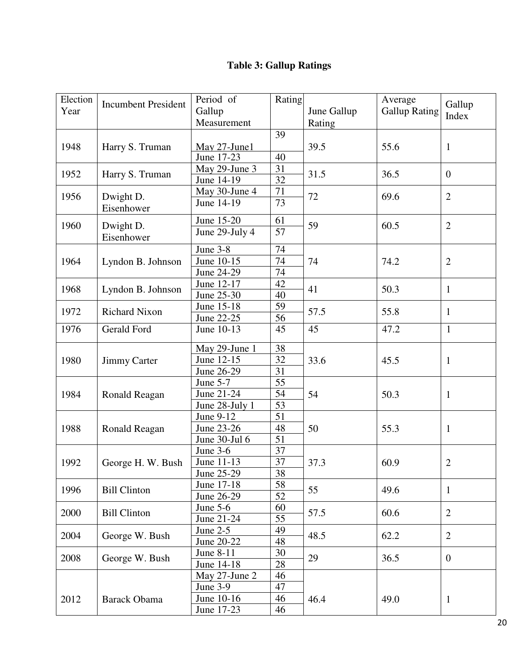# **Table 3: Gallup Ratings**

| Election |                            | Period of                   | Rating                |             | Average              |                |  |
|----------|----------------------------|-----------------------------|-----------------------|-------------|----------------------|----------------|--|
| Year     | <b>Incumbent President</b> | Gallup                      |                       | June Gallup | <b>Gallup Rating</b> | Gallup         |  |
|          |                            | Measurement                 |                       | Rating      |                      | Index          |  |
|          |                            |                             | 39                    |             |                      |                |  |
| 1948     |                            |                             |                       | 39.5        | 55.6                 |                |  |
|          | Harry S. Truman            | May 27-June1<br>June 17-23  | 40                    |             |                      | $\mathbf{1}$   |  |
|          |                            | May 29-June 3               | 31                    |             |                      |                |  |
| 1952     | Harry S. Truman            | June 14-19                  | $\overline{32}$       | 31.5        | 36.5                 | $\mathbf{0}$   |  |
|          |                            |                             |                       |             |                      |                |  |
| 1956     | Dwight D.                  | May 30-June 4<br>June 14-19 | 71<br>$\overline{73}$ | 72          | 69.6                 | $\overline{2}$ |  |
|          | Eisenhower                 |                             |                       |             |                      |                |  |
| 1960     |                            | June 15-20                  | 61                    | 59          | 60.5                 | $\overline{2}$ |  |
|          | Dwight D.                  | June 29-July 4              | $\overline{57}$       |             |                      |                |  |
|          | Eisenhower                 |                             |                       |             |                      |                |  |
|          |                            | June 3-8                    | 74                    |             |                      |                |  |
| 1964     | Lyndon B. Johnson          | June 10-15                  | 74                    | 74          | 74.2                 | $\overline{2}$ |  |
|          |                            | June 24-29                  | 74                    |             |                      |                |  |
| 1968     | Lyndon B. Johnson          | June 12-17                  | 42                    | 41          | 50.3                 | $\mathbf{1}$   |  |
|          |                            | June 25-30                  | 40                    |             |                      |                |  |
| 1972     | <b>Richard Nixon</b>       | June 15-18                  | 59                    | 57.5        | 55.8                 | $\mathbf{1}$   |  |
|          |                            | June 22-25                  | 56                    |             |                      |                |  |
| 1976     | <b>Gerald Ford</b>         | June 10-13                  | 45                    | 45          | 47.2                 | $\mathbf{1}$   |  |
|          |                            | May 29-June 1               | 38                    |             |                      |                |  |
| 1980     | <b>Jimmy Carter</b>        | June 12-15                  | 32                    | 33.6        | 45.5                 | $\mathbf{1}$   |  |
|          |                            | June 26-29                  | $\overline{31}$       |             |                      |                |  |
|          |                            | June 5-7                    | 55                    |             |                      |                |  |
| 1984     | Ronald Reagan              | June 21-24                  | 54                    | 54          | 50.3                 | $\mathbf{1}$   |  |
|          |                            | June 28-July 1              | $\overline{53}$       |             |                      |                |  |
|          |                            | June 9-12                   | 51                    |             |                      |                |  |
| 1988     | Ronald Reagan              | June 23-26                  | 48                    | 50          | 55.3                 | $\mathbf{1}$   |  |
|          |                            | June 30-Jul 6               | 51                    |             |                      |                |  |
|          |                            | June 3-6                    | 37                    |             |                      |                |  |
| 1992     | George H. W. Bush          | June 11-13                  | 37                    | 37.3        | 60.9                 | $\overline{2}$ |  |
|          |                            | June 25-29                  | 38                    |             |                      |                |  |
|          |                            | June 17-18                  | 58                    |             |                      |                |  |
| 1996     | <b>Bill Clinton</b>        | June 26-29                  | 52                    | 55          | 49.6                 | $\mathbf{1}$   |  |
|          |                            | June $5-6$                  | 60                    |             |                      |                |  |
| 2000     | <b>Bill Clinton</b>        | June 21-24                  | 55                    | 57.5        | 60.6                 | $\overline{2}$ |  |
|          |                            | June $2-5$                  | 49                    |             |                      |                |  |
| 2004     | George W. Bush             | June 20-22                  | 48                    | 48.5        | 62.2                 | $\overline{2}$ |  |
|          |                            | June 8-11                   | $30\,$                |             |                      |                |  |
| 2008     | George W. Bush             | June 14-18                  | 28                    | 29          | 36.5                 | $\overline{0}$ |  |
|          |                            | May 27-June 2               | 46                    |             |                      |                |  |
|          |                            | June 3-9                    | 47                    |             |                      |                |  |
| 2012     | <b>Barack Obama</b>        | June 10-16                  | 46                    | 46.4        | 49.0                 |                |  |
|          |                            | June 17-23                  | 46                    |             |                      | $\mathbf{1}$   |  |
|          |                            |                             |                       |             |                      |                |  |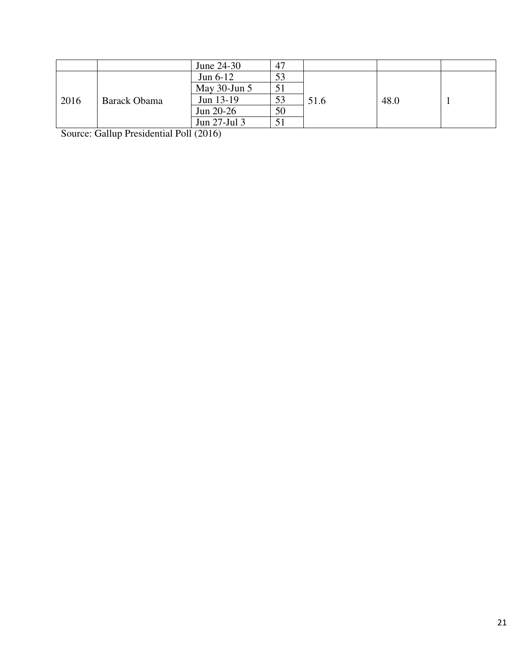|      |              | June 24-30        | 47 |      |      |  |
|------|--------------|-------------------|----|------|------|--|
| 2016 |              | Jun $6-12$        | 53 | 51.6 | 48.0 |  |
|      |              | May $30$ -Jun $5$ | 51 |      |      |  |
|      | Barack Obama | Jun 13-19         | 53 |      |      |  |
|      |              | Jun 20-26         | 50 |      |      |  |
|      |              | Jun 27-Jul 3      |    |      |      |  |

Source: Gallup Presidential Poll (2016)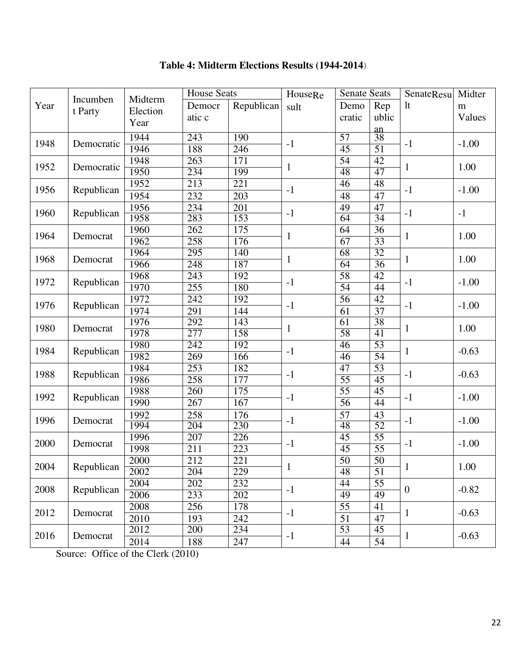|      |            | Midterm  | <b>House Seats</b> |                  | HouseRe      | <b>Senate Seats</b> |                      | SenateResu     | Midter  |
|------|------------|----------|--------------------|------------------|--------------|---------------------|----------------------|----------------|---------|
| Year | Incumben   |          | Democr             | Republican       | sult         | Demo                | Rep                  | lt             | m       |
|      | t Party    | Election | atic c             |                  |              | cratic              | ublic                |                | Values  |
|      |            | Year     |                    |                  |              |                     |                      |                |         |
| 1948 | Democratic | 1944     | $\overline{243}$   | 190              | $-1$         | $\overline{57}$     | $rac{\text{an}}{38}$ | $-1$           | $-1.00$ |
|      |            | 1946     | 188                | 246              |              | $\overline{45}$     | 51                   |                |         |
| 1952 |            | 1948     | 263                | $\overline{171}$ | $\mathbf{1}$ | $\overline{54}$     | 42                   |                | 1.00    |
|      | Democratic | 1950     | 234                | 199              |              | 48                  | 47                   | $\mathbf{1}$   |         |
| 1956 |            | 1952     | 213                | 221              | $-1$         | $\overline{46}$     | 48                   | $-1$           |         |
|      | Republican | 1954     | 232                | 203              |              | 48                  | 47                   |                | $-1.00$ |
|      |            | 1956     | 234                | 201              |              | 49                  | 47                   |                |         |
| 1960 | Republican | 1958     | 283                | 153              | $-1$         | 64                  | 34                   | $-1$           | $-1$    |
|      |            | 1960     | 262                | $\overline{175}$ |              | 64                  | $\overline{36}$      |                |         |
| 1964 | Democrat   | 1962     | 258                | 176              | $\mathbf{1}$ | 67                  | 33                   | $\mathbf{1}$   | 1.00    |
|      |            | 1964     | 295                | 140              |              | 68                  | 32                   |                |         |
| 1968 | Democrat   | 1966     | $\overline{248}$   | 187              | $\mathbf{1}$ | 64                  | 36                   | $\mathbf{1}$   | 1.00    |
|      |            | 1968     | 243                | 192              |              | 58                  | $\overline{42}$      |                |         |
| 1972 | Republican | 1970     | 255                | 180              | $-1$         | 54                  | $\overline{44}$      | $-1$           | $-1.00$ |
|      |            | 1972     | $\overline{242}$   | 192              |              | $\overline{56}$     | $\overline{42}$      |                |         |
| 1976 | Republican | 1974     | 291                | 144              | $-1$         | 61                  | 37                   | $-1$           | $-1.00$ |
|      |            | 1976     | 292                | 143              |              | $\overline{61}$     | 38                   |                |         |
| 1980 | Democrat   | 1978     | $\overline{277}$   | 158              | $\mathbf{1}$ | $\overline{58}$     | 41                   | $\mathbf{1}$   | 1.00    |
|      |            | 1980     | 242                | 192              |              | 46                  | 53                   |                |         |
| 1984 | Republican | 1982     | 269                | 166              | $-1$         | 46                  | 54                   | $\mathbf{1}$   | $-0.63$ |
|      |            | 1984     | $\overline{253}$   | 182              |              | $\overline{47}$     | 53                   |                |         |
| 1988 | Republican | 1986     | 258                | $\overline{177}$ | $-1$         | $\overline{55}$     | 45                   | $-1$           | $-0.63$ |
|      |            | 1988     | 260                | 175              |              | $\overline{55}$     | 45                   |                |         |
| 1992 | Republican | 1990     | 267                | 167              | $-1$         | 56                  | 44                   | $-1$           | $-1.00$ |
|      |            | 1992     | 258                | 176              |              | 57                  | 43                   |                |         |
| 1996 | Democrat   | 1994     | 204                | 230              | $-1$         | 48                  | $\overline{52}$      | $-1$           | $-1.00$ |
|      |            | 1996     | $\overline{207}$   | $\overline{226}$ |              | $\overline{45}$     | $\overline{55}$      |                |         |
| 2000 | Democrat   | 1998     | 211                | 223              | $-1$         | $\overline{45}$     | $\overline{55}$      | $-1$           | $-1.00$ |
|      |            | 2000     | 212                | 221              |              | 50                  | 50                   |                |         |
| 2004 | Republican | 2002     | 204                | 229              | $\mathbf{1}$ | 48                  | 51                   | $\mathbf{1}$   | 1.00    |
|      |            | 2004     | $\overline{202}$   | 232              |              | 44                  | $\overline{55}$      |                |         |
| 2008 | Republican | 2006     | 233                | 202              | $-1$         | 49                  | 49                   | $\overline{0}$ | $-0.82$ |
|      |            | 2008     | 256                | 178              |              | $\overline{55}$     | 41                   |                |         |
| 2012 | Democrat   | 2010     | 193                | 242              | $-1$         | 51                  | 47                   | $\mathbf{1}$   | $-0.63$ |
|      |            | 2012     | 200                | 234              |              | 53                  | $\overline{45}$      |                |         |
| 2016 | Democrat   |          |                    |                  | $-1$         |                     |                      | $\mathbf{1}$   | $-0.63$ |
|      |            | 2014     | 188                | 247              |              | 44                  | 54                   |                |         |

# **Table 4: Midterm Elections Results (1944-2014)**

Source: Office of the Clerk (2010)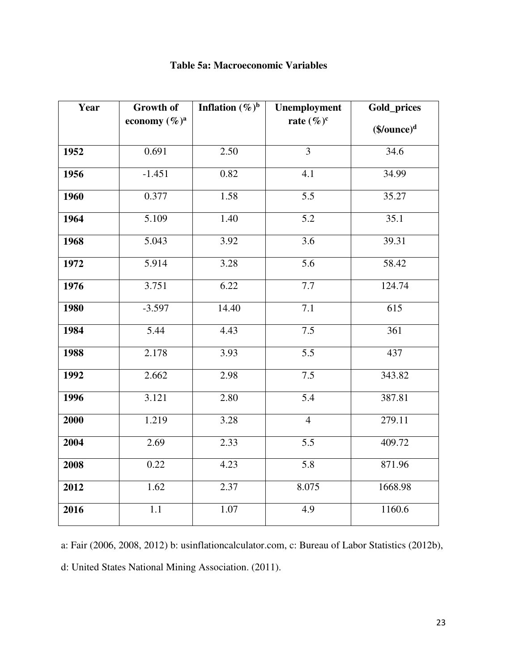| Year | <b>Growth of</b> | Inflation $(\%)^b$ | Unemployment     | Gold_prices    |
|------|------------------|--------------------|------------------|----------------|
|      | economy $(\%)^a$ |                    | rate $(\%)^c$    | $(\$/ounce)^d$ |
| 1952 | 0.691            | 2.50               | $\overline{3}$   | 34.6           |
| 1956 | $-1.451$         | 0.82               | 4.1              | 34.99          |
| 1960 | 0.377            | 1.58               | $\overline{5.5}$ | 35.27          |
| 1964 | 5.109            | 1.40               | $\overline{5.2}$ | 35.1           |
| 1968 | 5.043            | 3.92               | 3.6              | 39.31          |
| 1972 | 5.914            | 3.28               | $\overline{5.6}$ | 58.42          |
| 1976 | 3.751            | 6.22               | 7.7              | 124.74         |
| 1980 | $-3.597$         | 14.40              | 7.1              | 615            |
| 1984 | 5.44             | 4.43               | 7.5              | 361            |
| 1988 | 2.178            | 3.93               | 5.5              | 437            |
| 1992 | 2.662            | 2.98               | 7.5              | 343.82         |
| 1996 | 3.121            | 2.80               | $\overline{5.4}$ | 387.81         |
| 2000 | 1.219            | 3.28               | $\overline{4}$   | 279.11         |
| 2004 | 2.69             | 2.33               | $\overline{5.5}$ | 409.72         |
| 2008 | 0.22             | 4.23               | $\overline{5.8}$ | 871.96         |
| 2012 | 1.62             | 2.37               | 8.075            | 1668.98        |
| 2016 | $\overline{1}.1$ | 1.07               | 4.9              | 1160.6         |

### **Table 5a: Macroeconomic Variables**

a: Fair (2006, 2008, 2012) b: usinflationcalculator.com, c: Bureau of Labor Statistics (2012b), d: United States National Mining Association. (2011).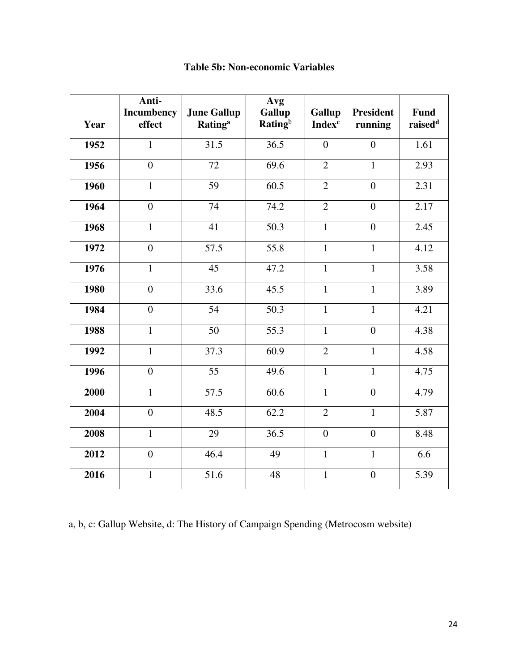| Year | Anti-<br><b>Incumbency</b><br>effect | <b>June Gallup</b><br><b>Rating</b> <sup>a</sup> | Avg<br><b>Gallup</b><br><b>Rating</b> <sup>b</sup> | Gallup<br><b>Index<sup>c</sup></b> | <b>President</b><br>running | Fund<br>raised <sup>d</sup> |
|------|--------------------------------------|--------------------------------------------------|----------------------------------------------------|------------------------------------|-----------------------------|-----------------------------|
| 1952 | $\mathbf{1}$                         | 31.5                                             | $\overline{36.5}$                                  | $\overline{0}$                     | $\overline{0}$              | 1.61                        |
| 1956 | $\overline{0}$                       | 72                                               | 69.6                                               | $\overline{2}$                     | $\mathbf{1}$                | 2.93                        |
| 1960 | $\mathbf{1}$                         | 59                                               | 60.5                                               | $\overline{2}$                     | $\overline{0}$              | 2.31                        |
| 1964 | $\overline{0}$                       | 74                                               | 74.2                                               | $\overline{2}$                     | $\overline{0}$              | 2.17                        |
| 1968 | $\mathbf{1}$                         | 41                                               | 50.3                                               | $\mathbf{1}$                       | $\overline{0}$              | 2.45                        |
| 1972 | $\overline{0}$                       | 57.5                                             | 55.8                                               | $\mathbf{1}$                       | $\mathbf{1}$                | 4.12                        |
| 1976 | $\mathbf{1}$                         | 45                                               | $47.\overline{2}$                                  | $\mathbf{1}$                       | $\mathbf{1}$                | 3.58                        |
| 1980 | $\overline{0}$                       | 33.6                                             | 45.5                                               | $\mathbf{1}$                       | $\mathbf{1}$                | 3.89                        |
| 1984 | $\overline{0}$                       | 54                                               | 50.3                                               | $\mathbf{1}$                       | $\mathbf{1}$                | 4.21                        |
| 1988 | $\mathbf{1}$                         | 50                                               | 55.3                                               | $\mathbf{1}$                       | $\overline{0}$              | 4.38                        |
| 1992 | $\mathbf{1}$                         | 37.3                                             | 60.9                                               | $\overline{2}$                     | $\mathbf{1}$                | 4.58                        |
| 1996 | $\overline{0}$                       | $\overline{55}$                                  | 49.6                                               | $\mathbf{1}$                       | $\overline{1}$              | 4.75                        |
| 2000 | $\overline{1}$                       | $\overline{57.5}$                                | 60.6                                               | $\mathbf{1}$                       | $\overline{0}$              | 4.79                        |
| 2004 | $\overline{0}$                       | 48.5                                             | 62.2                                               | $\overline{2}$                     | $\mathbf{1}$                | 5.87                        |
| 2008 | $\mathbf{1}$                         | 29                                               | 36.5                                               | $\overline{0}$                     | $\overline{0}$              | 8.48                        |
| 2012 | $\boldsymbol{0}$                     | 46.4                                             | 49                                                 | $\mathbf{1}$                       | $\mathbf{1}$                | 6.6                         |
| 2016 | $\mathbf{1}$                         | 51.6                                             | 48                                                 | $\mathbf{1}$                       | $\overline{0}$              | 5.39                        |

### **Table 5b: Non-economic Variables**

a, b, c: Gallup Website, d: The History of Campaign Spending (Metrocosm website)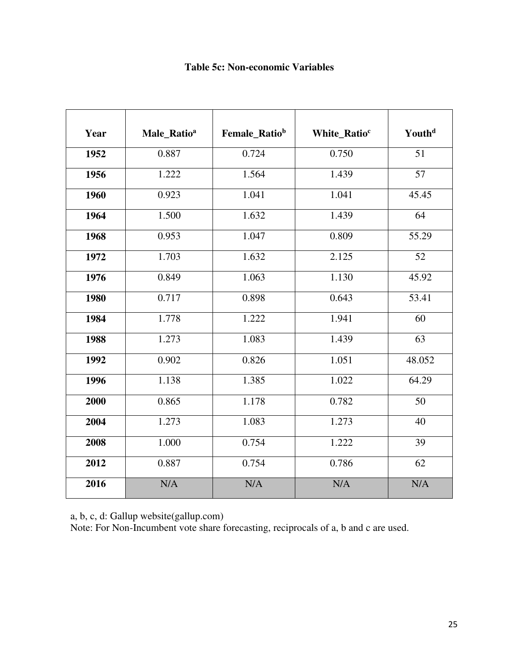### **Table 5c: Non-economic Variables**

| Year | Male_Ratio <sup>a</sup> | Female_Ratiob | White_Ratio <sup>c</sup> | Youth <sup>d</sup> |
|------|-------------------------|---------------|--------------------------|--------------------|
| 1952 | 0.887                   | 0.724         | 0.750                    | 51                 |
| 1956 | 1.222                   | 1.564         | 1.439                    | $\overline{57}$    |
| 1960 | 0.923                   | 1.041         | 1.041                    | 45.45              |
| 1964 | 1.500                   | 1.632         | 1.439                    | 64                 |
| 1968 | 0.953                   | 1.047         | 0.809                    | 55.29              |
| 1972 | 1.703                   | 1.632         | 2.125                    | 52                 |
| 1976 | 0.849                   | 1.063         | 1.130                    | 45.92              |
| 1980 | 0.717                   | 0.898         | 0.643                    | 53.41              |
| 1984 | 1.778                   | 1.222         | 1.941                    | 60                 |
| 1988 | 1.273                   | 1.083         | 1.439                    | 63                 |
| 1992 | 0.902                   | 0.826         | 1.051                    | 48.052             |
| 1996 | 1.138                   | 1.385         | 1.022                    | 64.29              |
| 2000 | 0.865                   | 1.178         | 0.782                    | 50                 |
| 2004 | 1.273                   | 1.083         | 1.273                    | 40                 |
| 2008 | 1.000                   | 0.754         | 1.222                    | 39                 |
| 2012 | 0.887                   | 0.754         | 0.786                    | 62                 |
| 2016 | N/A                     | N/A           | N/A                      | N/A                |

a, b, c, d: Gallup website(gallup.com)

Note: For Non-Incumbent vote share forecasting, reciprocals of a, b and c are used.